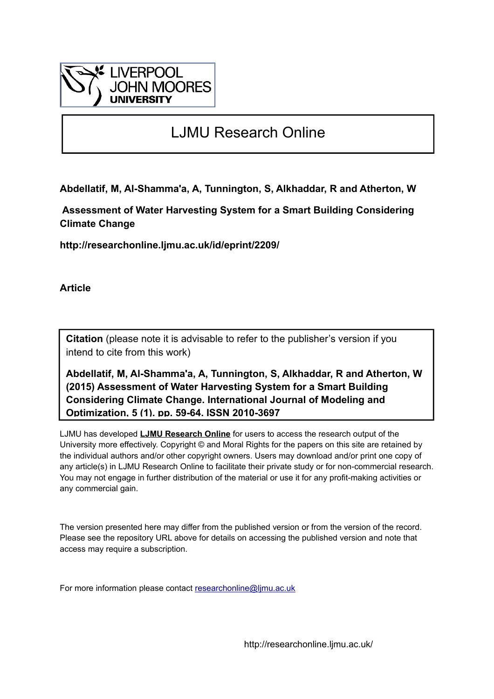

# LJMU Research Online

**Abdellatif, M, Al-Shamma'a, A, Tunnington, S, Alkhaddar, R and Atherton, W**

 **Assessment of Water Harvesting System for a Smart Building Considering Climate Change**

**http://researchonline.ljmu.ac.uk/id/eprint/2209/**

**Article**

**Citation** (please note it is advisable to refer to the publisher's version if you intend to cite from this work)

**Abdellatif, M, Al-Shamma'a, A, Tunnington, S, Alkhaddar, R and Atherton, W (2015) Assessment of Water Harvesting System for a Smart Building Considering Climate Change. International Journal of Modeling and Optimization, 5 (1). pp. 59-64. ISSN 2010-3697** 

LJMU has developed **[LJMU Research Online](http://researchonline.ljmu.ac.uk/)** for users to access the research output of the University more effectively. Copyright © and Moral Rights for the papers on this site are retained by the individual authors and/or other copyright owners. Users may download and/or print one copy of any article(s) in LJMU Research Online to facilitate their private study or for non-commercial research. You may not engage in further distribution of the material or use it for any profit-making activities or any commercial gain.

The version presented here may differ from the published version or from the version of the record. Please see the repository URL above for details on accessing the published version and note that access may require a subscription.

For more information please contact [researchonline@ljmu.ac.uk](mailto:researchonline@ljmu.ac.uk)

http://researchonline.ljmu.ac.uk/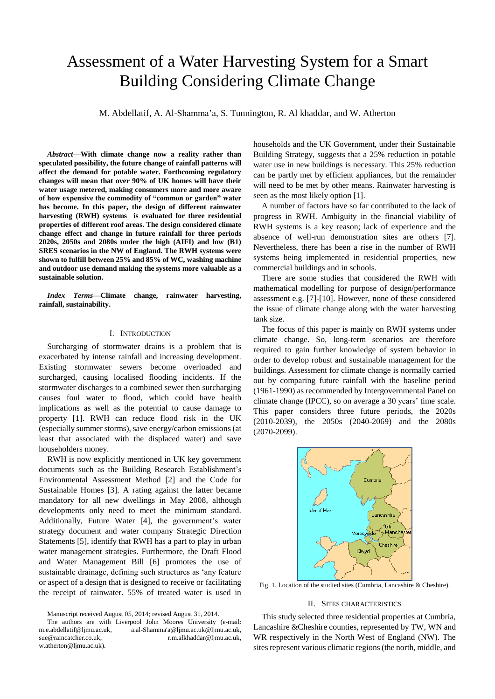# Assessment of a Water Harvesting System for a Smart Building Considering Climate Change

M. Abdellatif, A. Al-Shamma'a, S. Tunnington, R. Al khaddar, and W. Atherton

*Abstract***—With climate change now a reality rather than speculated possibility, the future change of rainfall patterns will affect the demand for potable water. Forthcoming regulatory changes will mean that over 90% of UK homes will have their water usage metered, making consumers more and more aware of how expensive the commodity of "common or garden" water has become. In this paper, the design of different rainwater harvesting (RWH) systems is evaluated for three residential properties of different roof areas. The design considered climate change effect and change in future rainfall for three periods 2020s, 2050s and 2080s under the high (AIFI) and low (B1) SRES scenarios in the NW of England. The RWH systems were shown to fulfill between 25% and 85% of WC, washing machine and outdoor use demand making the systems more valuable as a sustainable solution.**

*Index Terms***—Climate change, rainwater harvesting, rainfall, sustainability.**

## I. INTRODUCTION

Surcharging of stormwater drains is a problem that is exacerbated by intense rainfall and increasing development. Existing stormwater sewers become overloaded and surcharged, causing localised flooding incidents. If the stormwater discharges to a combined sewer then surcharging causes foul water to flood, which could have health implications as well as the potential to cause damage to property [1]. RWH can reduce flood risk in the UK (especially summer storms), save energy/carbon emissions (at least that associated with the displaced water) and save householders money.

RWH is now explicitly mentioned in UK key government documents such as the Building Research Establishment's Environmental Assessment Method [2] and the Code for Sustainable Homes [3]. A rating against the latter became mandatory for all new dwellings in May 2008, although developments only need to meet the minimum standard. Additionally, Future Water [4], the government's water strategy document and water company Strategic Direction Statements [5], identify that RWH has a part to play in urban water management strategies. Furthermore, the Draft Flood and Water Management Bill [6] promotes the use of sustainable drainage, defining such structures as 'any feature or aspect of a design that is designed to receive or facilitating the receipt of rainwater. 55% of treated water is used in

Manuscript received August 05, 2014; revised August 31, 2014.

The authors are with Liverpool John Moores University (e-mail: [m.e.abdellatif@ljmu.ac.uk,](mailto:m.e.abdellatif@ljmu.ac.uk) [a.al-Shamma'a@ljmu.ac.uk@ljmu.ac.uk,](mailto:M.E.Abdellatif@ljmu.ac.uk) sue@raincatcher.co.uk, [r.m.alkhaddar@ljmu.ac.uk,](mailto:r.m.alkhaddar@ljmu.ac.uk) [w.atherton@ljmu.ac.uk\)](mailto:w.atherton@ljmu.ac.uk).

households and the UK Government, under their Sustainable Building Strategy, suggests that a 25% reduction in potable water use in new buildings is necessary. This 25% reduction can be partly met by efficient appliances, but the remainder will need to be met by other means. Rainwater harvesting is seen as the most likely option [1].

A number of factors have so far contributed to the lack of progress in RWH. Ambiguity in the financial viability of RWH systems is a key reason; lack of experience and the absence of well-run demonstration sites are others [7]. Nevertheless, there has been a rise in the number of RWH systems being implemented in residential properties, new commercial buildings and in schools.

There are some studies that considered the RWH with mathematical modelling for purpose of design/performance assessment e.g. [7]-[10]. However, none of these considered the issue of climate change along with the water harvesting tank size.

The focus of this paper is mainly on RWH systems under climate change. So, long-term scenarios are therefore required to gain further knowledge of system behavior in order to develop robust and sustainable management for the buildings. Assessment for climate change is normally carried out by comparing future rainfall with the baseline period (1961-1990) as recommended by Intergovernmental Panel on climate change (IPCC), so on average a 30 years' time scale. This paper considers three future periods, the 2020s (2010-2039), the 2050s (2040-2069) and the 2080s (2070-2099).



Fig. 1. Location of the studied sites (Cumbria, Lancashire & Cheshire).

## II. SITES CHARACTERISTICS

This study selected three residential properties at Cumbria, Lancashire &Cheshire counties, represented by TW, WN and WR respectively in the North West of England (NW). The sites represent various climatic regions (the north, middle, and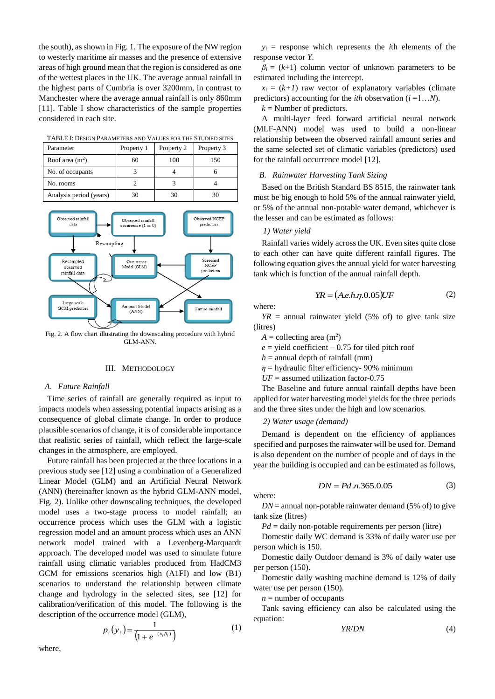the south), as shown in Fig. 1. The exposure of the NW region to westerly maritime air masses and the presence of extensive areas of high ground mean that the region is considered as one of the wettest places in the UK. The average annual rainfall in the highest parts of Cumbria is over 3200mm, in contrast to Manchester where the average annual rainfall is only 860mm [11]. Table I show characteristics of the sample properties considered in each site.

TABLE I: DESIGN PARAMETERS AND VALUES FOR THE STUDIED SITES

| Parameter               | Property 1 | Property 2 | Property 3 |
|-------------------------|------------|------------|------------|
| Roof area $(m2)$        | 60         | 100        | 150        |
| No. of occupants        |            |            |            |
| No. rooms               |            |            |            |
| Analysis period (years) | 30         | 30         | 30         |



Fig. 2. A flow chart illustrating the downscaling procedure with hybrid GLM-ANN.

## III. METHODOLOGY

### *A. Future Rainfall*

Time series of rainfall are generally required as input to impacts models when assessing potential impacts arising as a consequence of global climate change. In order to produce plausible scenarios of change, it is of considerable importance that realistic series of rainfall, which reflect the large-scale changes in the atmosphere, are employed.

Future rainfall has been projected at the three locations in a previous study see [12] using a combination of a Generalized Linear Model (GLM) and an Artificial Neural Network (ANN) (hereinafter known as the hybrid GLM-ANN model, Fig. 2). Unlike other downscaling techniques, the developed model uses a two-stage process to model rainfall; an occurrence process which uses the GLM with a logistic regression model and an amount process which uses an ANN network model trained with a Levenberg-Marquardt approach. The developed model was used to simulate future rainfall using climatic variables produced from HadCM3 GCM for emissions scenarios high (A1FI) and low (B1) scenarios to understand the relationship between climate change and hydrology in the selected sites, see [12] for calibration/verification of this model. The following is the description of the occurrence model (GLM),

$$
p_i(y_i) = \frac{1}{(1 + e^{-(x_i \beta_i)})}
$$
 (1)

 $y_i$  = response which represents the *i*th elements of the response vector *Y*.

 $\beta$ <sup>*i*</sup> = (*k*+1) column vector of unknown parameters to be estimated including the intercept.

 $x_i = (k+1)$  raw vector of explanatory variables (climate predictors) accounting for the *ith* observation (*i* =1…*N*).

 $k =$  Number of predictors.

A multi-layer feed forward artificial neural network (MLF-ANN) model was used to build a non-linear relationship between the observed rainfall amount series and the same selected set of climatic variables (predictors) used for the rainfall occurrence model [12].

## *B. Rainwater Harvesting Tank Sizing*

Based on the British Standard BS 8515, the rainwater tank must be big enough to hold 5% of the annual rainwater yield, or 5% of the annual non-potable water demand, whichever is the lesser and can be estimated as follows:

#### *1) Water yield*

Rainfall varies widely across the UK. Even sites quite close to each other can have quite different rainfall figures. The following equation gives the annual yield for water harvesting tank which is function of the annual rainfall depth.

$$
YR = (A.e.h.\eta.0.05)UF\tag{2}
$$

where:

 $YR$  = annual rainwater yield (5% of) to give tank size (litres)

- $A =$  collecting area  $(m<sup>2</sup>)$
- $e$  = yield coefficient 0.75 for tiled pitch roof

 $h =$  annual depth of rainfall (mm)

 $\eta$  = hydraulic filter efficiency- 90% minimum

 $UF =$  assumed utilization factor-0.75

The Baseline and future annual rainfall depths have been applied for water harvesting model yields for the three periods and the three sites under the high and low scenarios.

*2) Water usage (demand)*

Demand is dependent on the efficiency of appliances specified and purposes the rainwater will be used for. Demand is also dependent on the number of people and of days in the year the building is occupied and can be estimated as follows,

$$
DN = Pd.n.365.0.05
$$
 (3)

where:

 $DN =$  annual non-potable rainwater demand (5% of) to give tank size (litres)

 $Pd =$  daily non-potable requirements per person (litre)

Domestic daily WC demand is 33% of daily water use per person which is 150.

Domestic daily Outdoor demand is 3% of daily water use per person (150).

Domestic daily washing machine demand is 12% of daily water use per person (150).

 $n =$  number of occupants

Tank saving efficiency can also be calculated using the equation:

$$
YR/DN \tag{4}
$$

where,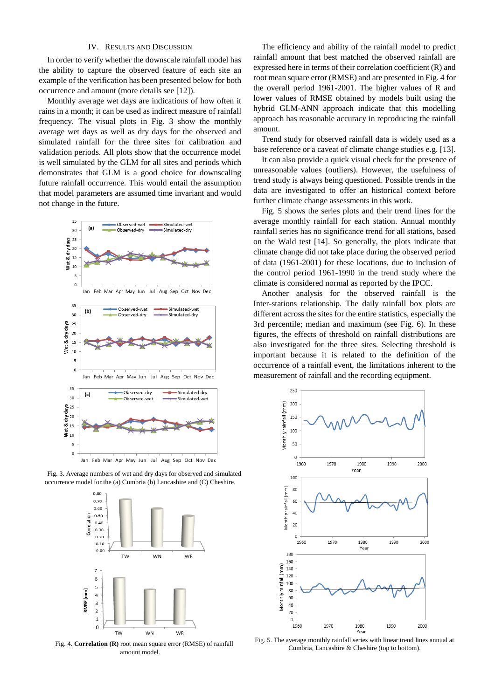## IV. RESULTS AND DISCUSSION

In order to verify whether the downscale rainfall model has the ability to capture the observed feature of each site an example of the verification has been presented below for both occurrence and amount (more details see [12]).

Monthly average wet days are indications of how often it rains in a month; it can be used as indirect measure of rainfall frequency. The visual plots in Fig. 3 show the monthly average wet days as well as dry days for the observed and simulated rainfall for the three sites for calibration and validation periods. All plots show that the occurrence model is well simulated by the GLM for all sites and periods which demonstrates that GLM is a good choice for downscaling future rainfall occurrence. This would entail the assumption that model parameters are assumed time invariant and would not change in the future.



Fig. 3. Average numbers of wet and dry days for observed and simulated occurrence model for the (a) Cumbria (b) Lancashire and (C) Cheshire.



Fig. 4. **Correlation (R)** root mean square error (RMSE) of rainfall amount model.

The efficiency and ability of the rainfall model to predict rainfall amount that best matched the observed rainfall are expressed here in terms of their correlation coefficient (R) and root mean square error (RMSE) and are presented in Fig. 4 for the overall period 1961-2001. The higher values of R and lower values of RMSE obtained by models built using the hybrid GLM-ANN approach indicate that this modelling approach has reasonable accuracy in reproducing the rainfall amount.

Trend study for observed rainfall data is widely used as a base reference or a caveat of climate change studies e.g. [13].

It can also provide a quick visual check for the presence of unreasonable values (outliers). However, the usefulness of trend study is always being questioned. Possible trends in the data are investigated to offer an historical context before further climate change assessments in this work.

Fig. 5 shows the series plots and their trend lines for the average monthly rainfall for each station. Annual monthly rainfall series has no significance trend for all stations, based on the Wald test [14]. So generally, the plots indicate that climate change did not take place during the observed period of data (1961-2001) for these locations, due to inclusion of the control period 1961-1990 in the trend study where the climate is considered normal as reported by the IPCC.

Another analysis for the observed rainfall is the Inter-stations relationship. The daily rainfall box plots are different across the sites for the entire statistics, especially the 3rd percentile; median and maximum (see Fig. 6). In these figures, the effects of threshold on rainfall distributions are also investigated for the three sites. Selecting threshold is important because it is related to the definition of the occurrence of a rainfall event, the limitations inherent to the measurement of rainfall and the recording equipment.



Fig. 5. The average monthly rainfall series with linear trend lines annual at Cumbria, Lancashire & Cheshire (top to bottom).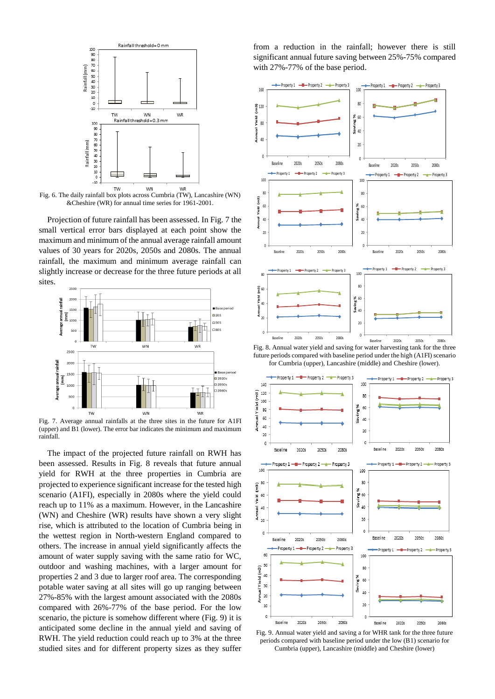

Fig. 6. The daily rainfall box plots across Cumbria (TW), Lancashire (WN) &Cheshire (WR) for annual time series for 1961-2001.

Projection of future rainfall has been assessed. In Fig. 7 the small vertical error bars displayed at each point show the maximum and minimum of the annual average rainfall amount values of 30 years for 2020s, 2050s and 2080s. The annual rainfall, the maximum and minimum average rainfall can slightly increase or decrease for the three future periods at all sites.



Fig. 7. Average annual rainfalls at the three sites in the future for A1FI (upper) and B1 (lower). The error bar indicates the minimum and maximum rainfall.

The impact of the projected future rainfall on RWH has been assessed. Results in Fig. 8 reveals that future annual yield for RWH at the three properties in Cumbria are projected to experience significant increase for the tested high scenario (A1FI), especially in 2080s where the yield could reach up to 11% as a maximum. However, in the Lancashire (WN) and Cheshire (WR) results have shown a very slight rise, which is attributed to the location of Cumbria being in the wettest region in North-western England compared to others. The increase in annual yield significantly affects the amount of water supply saving with the same ratio for WC, outdoor and washing machines, with a larger amount for properties 2 and 3 due to larger roof area. The corresponding potable water saving at all sites will go up ranging between 27%-85% with the largest amount associated with the 2080s compared with 26%-77% of the base period. For the low scenario, the picture is somehow different where (Fig. 9) it is anticipated some decline in the annual yield and saving of RWH. The yield reduction could reach up to 3% at the three studied sites and for different property sizes as they suffer from a reduction in the rainfall; however there is still significant annual future saving between 25%-75% compared with 27%-77% of the base period.



Fig. 8. Annual water yield and saving for water harvesting tank for the three future periods compared with baseline period under the high (A1FI) scenario for Cumbria (upper), Lancashire (middle) and Cheshire (lower).



Fig. 9. Annual water yield and saving a for WHR tank for the three future periods compared with baseline period under the low (B1) scenario for Cumbria (upper), Lancashire (middle) and Cheshire (lower)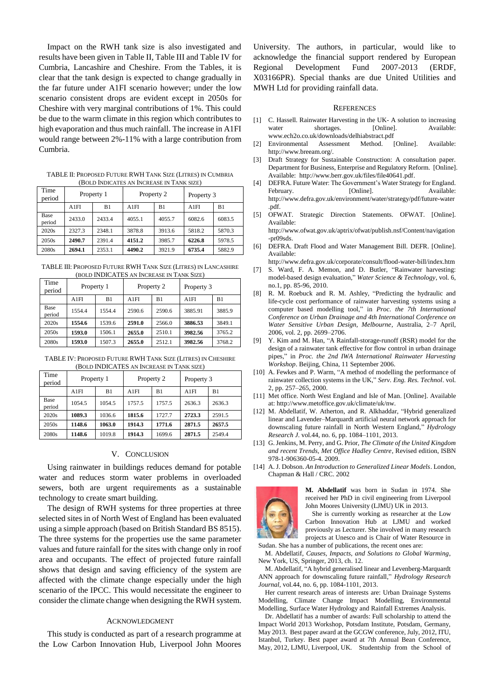Impact on the RWH tank size is also investigated and results have been given in Table II, Table III and Table IV for Cumbria, Lancashire and Cheshire. From the Tables, it is clear that the tank design is expected to change gradually in the far future under A1FI scenario however; under the low scenario consistent drops are evident except in 2050s for Cheshire with very marginal contributions of 1%. This could be due to the warm climate in this region which contributes to high evaporation and thus much rainfall. The increase in A1FI would range between 2%-11% with a large contribution from Cumbria.

TABLE II: PROPOSED FUTURE RWH TANK SIZE (LITRES) IN CUMBRIA (BOLD INDICATES AN INCREASE IN TANK SIZE)

| Time<br>period | Property 1 |        | Property 2 |        | Property 3 |        |
|----------------|------------|--------|------------|--------|------------|--------|
|                | A1FI       | B1     | A1FI       | B1     | A1FI       | B1     |
| Base<br>period | 2433.0     | 2433.4 | 4055.1     | 4055.7 | 6082.6     | 6083.5 |
| 2020s          | 2327.3     | 2348.1 | 3878.8     | 3913.6 | 5818.2     | 5870.3 |
| 2050s          | 2490.7     | 2391.4 | 4151.2     | 3985.7 | 6226.8     | 5978.5 |
| 2080s          | 2694.1     | 2353.1 | 4490.2     | 3921.9 | 6735.4     | 5882.9 |

TABLE III: PROPOSED FUTURE RWH TANK SIZE (LITRES) IN LANCASHIRE (BOLD INDICATES AN INCREASE IN TANK SIZE)

| Time<br>period | Property 1 |        | Property 2 |        | Property 3 |        |
|----------------|------------|--------|------------|--------|------------|--------|
|                | A1FI       | B1     | A1FI       | B1     | A1FI       | B1     |
| Base<br>period | 1554.4     | 1554.4 | 2590.6     | 2590.6 | 3885.91    | 3885.9 |
| 2020s          | 1554.6     | 1539.6 | 2591.0     | 2566.0 | 3886.53    | 3849.1 |
| 2050s          | 1593.0     | 1506.1 | 2655.0     | 2510.1 | 3982.56    | 3765.2 |
| 2080s          | 1593.0     | 1507.3 | 2655.0     | 2512.1 | 3982.56    | 3768.2 |

TABLE IV: PROPOSED FUTURE RWH TANK SIZE (LITRES) IN CHESHIRE (BOLD INDICATES AN INCREASE IN TANK SIZE)

| Time<br>period | Property 1 |        | Property 2 |        | Property 3 |        |
|----------------|------------|--------|------------|--------|------------|--------|
|                | A1FI       | B1     | A1FI       | B1     | A1FI       | B1     |
| Base<br>period | 1054.5     | 1054.5 | 1757.5     | 1757.5 | 2636.3     | 2636.3 |
| 2020s          | 1089.3     | 1036.6 | 1815.6     | 1727.7 | 2723.3     | 2591.5 |
| 2050s          | 1148.6     | 1063.0 | 1914.3     | 1771.6 | 2871.5     | 2657.5 |
| 2080s          | 1148.6     | 1019.8 | 1914.3     | 1699.6 | 2871.5     | 2549.4 |

### V. CONCLUSION

Using rainwater in buildings reduces demand for potable water and reduces storm water problems in overloaded sewers, both are urgent requirements as a sustainable technology to create smart building.

The design of RWH systems for three properties at three selected sites in of North West of England has been evaluated using a simple approach (based on British Standard BS 8515). The three systems for the properties use the same parameter values and future rainfall for the sites with change only in roof area and occupants. The effect of projected future rainfall shows that design and saving efficiency of the system are affected with the climate change especially under the high scenario of the IPCC. This would necessitate the engineer to consider the climate change when designing the RWH system.

## ACKNOWLEDGMENT

This study is conducted as part of a research programme at the Low Carbon Innovation Hub, Liverpool John Moores University. The authors, in particular, would like to acknowledge the financial support rendered by European Regional Development Fund 2007-2013 (ERDF, X03166PR). Special thanks are due United Utilities and MWH Ltd for providing rainfall data.

#### **REFERENCES**

- [1] C. Hassell. Rainwater Harvesting in the UK- A solution to increasing water shortages. [Online]. Available: [www.ech2o.co.uk/downloads/delhiabstract.pdf](http://www.ech2o.co.uk/downloads/delhiabstract.pdf)<br>Environmental Assessment Method. [Online].
- [2] Environmental Assessment Method. [Online]. Available: http://www.breeam.org/.
- [3] Draft Strategy for Sustainable Construction: A consultation paper. Department for Business, Enterprise and Regulatory Reform. [Online]. Available: [http://www.berr.gov.uk/files/file40641.pdf.](http://www.berr.gov.uk/files/file40641.pdf)
- [4] DEFRA. Future Water: The Government's Water Strategy for England. February. [Online]. Available: [http://www.defra.gov.uk/environme](http://www.defra.gov.uk/environm)nt/water/strategy/pdf/future-water .pdf.
- [5] OFWAT. Strategic Direction Statements. OFWAT. [Online]. Available:
- [http://www.ofwat.gov.uk/aptrix/ofwat/publish.nsf/Content/nav](http://www.ofwat.gov.uk/aptrix/ofwat/publish.nsf/Content/na)igation -pr09sds.
- [6] DEFRA. Draft Flood and Water Management Bill. DEFR. [Online]. Available:

<http://www.defra.gov.uk/corporate/consult/flood-water-bill/index.htm> [7] S. Ward, F. A. Memon, and D. Butler, "Rainwater harvesting:

- model-based design evaluation," *Water Science & Technology*, vol. 6, no.1, pp. 85-96, 2010.
- [8] R. M. Roebuck and R. M. Ashley, "Predicting the hydraulic and life-cycle cost performance of rainwater harvesting systems using a computer based modelling tool," in *Proc. the 7th International Conference on Urban Drainage and 4th International Conference on Water Sensitive Urban Design, Melbourne*, Australia, 2–7 April, 2006, vol. 2, pp. 2699–2706.
- [9] Y. Kim and M. Han, "A Rainfall-storage-runoff (RSR) model for the design of a rainwater tank effective for flow control in urban drainage pipes," in *Proc. the 2nd IWA International Rainwater Harvesting Workshop*. Beijing, China, 11 September 2006.
- [10] A. Fewkes and P. Warm, "A method of modelling the performance of rainwater collection systems in the UK," *Serv. Eng. Res. Technol*. vol. 2, pp. 257–265, 2000.
- [11] Met office. North West England and Isle of Man. [Online]. Available at: http://www.metoffice.gov.uk/climate/uk/nw.
- [12] M. Abdellatif, W. Atherton, and R. Alkhaddar, "Hybrid generalized linear and Lavender–Marquardt artificial neural network approach for downscaling future rainfall in North Western England," *Hydrology Research J*. vol.44, no. 6, pp. 1084–1101, 2013.
- [13] G. Jenkins, M. Perry, and G. Prior, *The Climate of the United Kingdom and recent Trends, Met Office Hadley Centre*, Revised edition, ISBN 978-1-906360-05-4. 2009.
- [14] A. J. Dobson. *An Introduction to Generalized Linear Models*. London, Chapman & Hall / CRC. 2002



**M. Abdellatif** was born in Sudan in 1974. She received her PhD in civil engineering from Liverpool John Moores University (LJMU) UK in 2013.

She is currently working as researcher at the Low Carbon Innovation Hub at LJMU and worked previously as Lecturer. She involved in many research projects at Unesco and is Chair of Water Resource in Sudan. She has a number of publications, the recent ones are:

M. Abdellatif, *Causes, Impacts, and Solutions to Global Warming*, New York, US, Springer, 2013, ch. 12.

M. Abdellatif, "A hybrid generalised linear and Levenberg-Marquardt ANN approach for downscaling future rainfall," *Hydrology Research Journal*, vol.44, no. 6, pp. 1084-1101, 2013.

Her current research areas of interests are: Urban Drainage Systems Modelling, Climate Change Impact Modelling, Environmental Modelling, Surface Water Hydrology and Rainfall Extremes Analysis.

Dr. Abdellatif has a number of awards: Full scholarship to attend the Impact World 2013 Workshop, Potsdam Institute, Potsdam, Germany, May 2013. Best paper award at the GCGW conference, July, 2012, ITU, Istanbul, Turkey. Best paper award at 7th Annual Bean Conference, May, 2012, LJMU, Liverpool, UK. Studentship from the School of